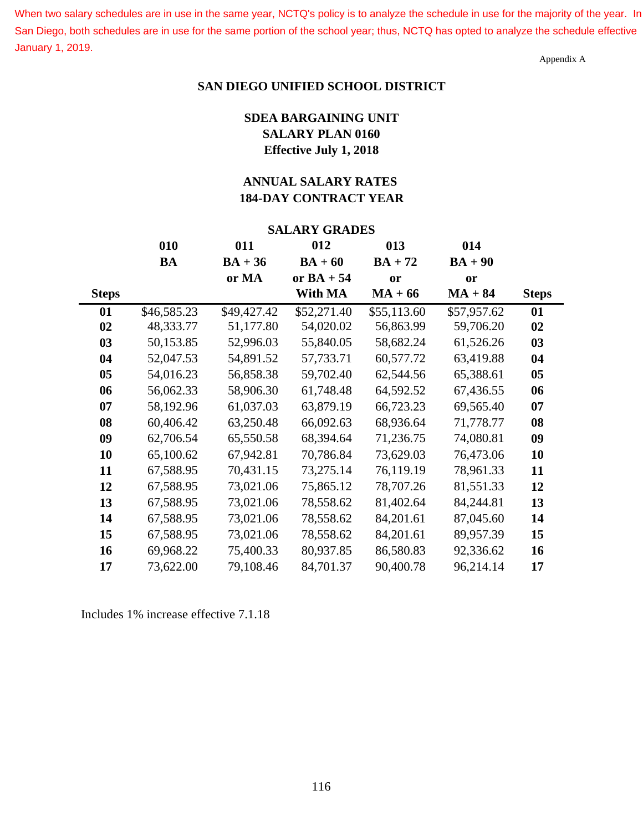When two salary schedules are in use in the same year, NCTQ's policy is to analyze the schedule in use for the majority of the year. In San Diego, both schedules are in use for the same portion of the school year; thus, NCTQ has opted to analyze the schedule effective January 1, 2019.

Appendix A

#### **SAN DIEGO UNIFIED SCHOOL DISTRICT**

# **SDEA BARGAINING UNIT SALARY PLAN 0160 Effective July 1, 2018**

# **ANNUAL SALARY RATES 184-DAY CONTRACT YEAR**

| <b>SALARY GRADES</b> |             |             |              |             |             |              |  |  |  |
|----------------------|-------------|-------------|--------------|-------------|-------------|--------------|--|--|--|
|                      | 010         | 011         | 012          | 013         | 014         |              |  |  |  |
|                      | BA          | $BA + 36$   | $BA + 60$    | $BA + 72$   | $BA + 90$   |              |  |  |  |
|                      |             | or MA       | or $BA + 54$ | or          | <b>or</b>   |              |  |  |  |
| <b>Steps</b>         |             |             | With MA      | $MA + 66$   | $MA + 84$   | <b>Steps</b> |  |  |  |
| 01                   | \$46,585.23 | \$49,427.42 | \$52,271.40  | \$55,113.60 | \$57,957.62 | 01           |  |  |  |
| 02                   | 48,333.77   | 51,177.80   | 54,020.02    | 56,863.99   | 59,706.20   | 02           |  |  |  |
| 03                   | 50,153.85   | 52,996.03   | 55,840.05    | 58,682.24   | 61,526.26   | 03           |  |  |  |
| 04                   | 52,047.53   | 54,891.52   | 57,733.71    | 60,577.72   | 63,419.88   | 04           |  |  |  |
| 05                   | 54,016.23   | 56,858.38   | 59,702.40    | 62,544.56   | 65,388.61   | 05           |  |  |  |
| 06                   | 56,062.33   | 58,906.30   | 61,748.48    | 64,592.52   | 67,436.55   | 06           |  |  |  |
| 07                   | 58,192.96   | 61,037.03   | 63,879.19    | 66,723.23   | 69,565.40   | 07           |  |  |  |
| 08                   | 60,406.42   | 63,250.48   | 66,092.63    | 68,936.64   | 71,778.77   | 08           |  |  |  |
| 09                   | 62,706.54   | 65,550.58   | 68,394.64    | 71,236.75   | 74,080.81   | 09           |  |  |  |
| 10                   | 65,100.62   | 67,942.81   | 70,786.84    | 73,629.03   | 76,473.06   | 10           |  |  |  |
| 11                   | 67,588.95   | 70,431.15   | 73,275.14    | 76,119.19   | 78,961.33   | 11           |  |  |  |
| 12                   | 67,588.95   | 73,021.06   | 75,865.12    | 78,707.26   | 81,551.33   | 12           |  |  |  |
| 13                   | 67,588.95   | 73,021.06   | 78,558.62    | 81,402.64   | 84,244.81   | 13           |  |  |  |
| 14                   | 67,588.95   | 73,021.06   | 78,558.62    | 84,201.61   | 87,045.60   | 14           |  |  |  |
| 15                   | 67,588.95   | 73,021.06   | 78,558.62    | 84,201.61   | 89,957.39   | 15           |  |  |  |
| 16                   | 69,968.22   | 75,400.33   | 80,937.85    | 86,580.83   | 92,336.62   | 16           |  |  |  |
| 17                   | 73,622.00   | 79,108.46   | 84,701.37    | 90,400.78   | 96,214.14   | 17           |  |  |  |

Includes 1% increase effective 7.1.18